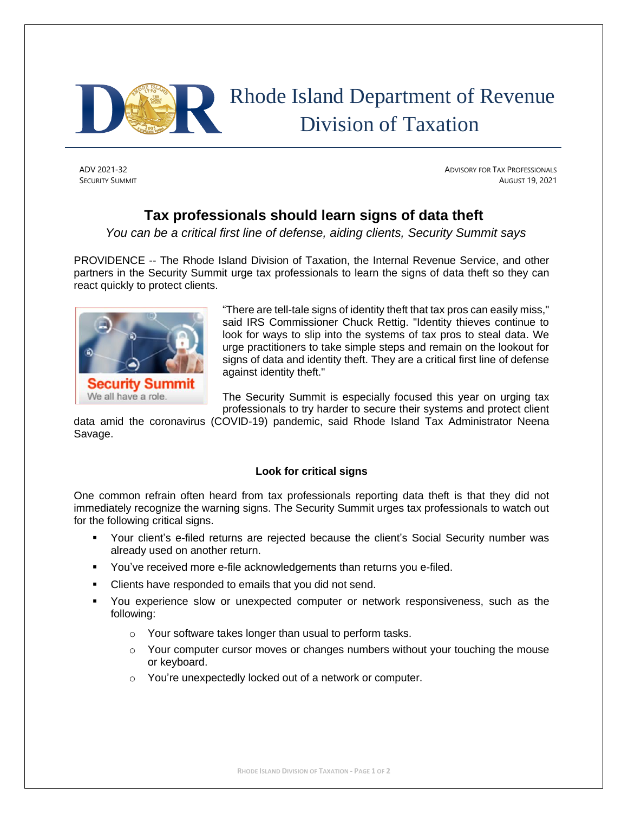

# Rhode Island Department of Revenue Division of Taxation

ADV 2021-32 ADVISORY FOR TAX PROFESSIONALS SECURITY SUMMIT AUGUST 19, 2021

# **Tax professionals should learn signs of data theft**

*You can be a critical first line of defense, aiding clients, Security Summit says*

PROVIDENCE -- The Rhode Island Division of Taxation, the Internal Revenue Service, and other partners in the Security Summit urge tax professionals to learn the signs of data theft so they can react quickly to protect clients.



"There are tell-tale signs of identity theft that tax pros can easily miss," said IRS Commissioner Chuck Rettig. "Identity thieves continue to look for ways to slip into the systems of tax pros to steal data. We urge practitioners to take simple steps and remain on the lookout for signs of data and identity theft. They are a critical first line of defense against identity theft."

The Security Summit is especially focused this year on urging tax professionals to try harder to secure their systems and protect client

data amid the coronavirus (COVID-19) pandemic, said Rhode Island Tax Administrator Neena Savage.

## **Look for critical signs**

One common refrain often heard from tax professionals reporting data theft is that they did not immediately recognize the warning signs. The Security Summit urges tax professionals to watch out for the following critical signs.

- Your client's e-filed returns are rejected because the client's Social Security number was already used on another return.
- You've received more e-file acknowledgements than returns you e-filed.
- Clients have responded to emails that you did not send.
- You experience slow or unexpected computer or network responsiveness, such as the following:
	- o Your software takes longer than usual to perform tasks.
	- o Your computer cursor moves or changes numbers without your touching the mouse or keyboard.
	- o You're unexpectedly locked out of a network or computer.